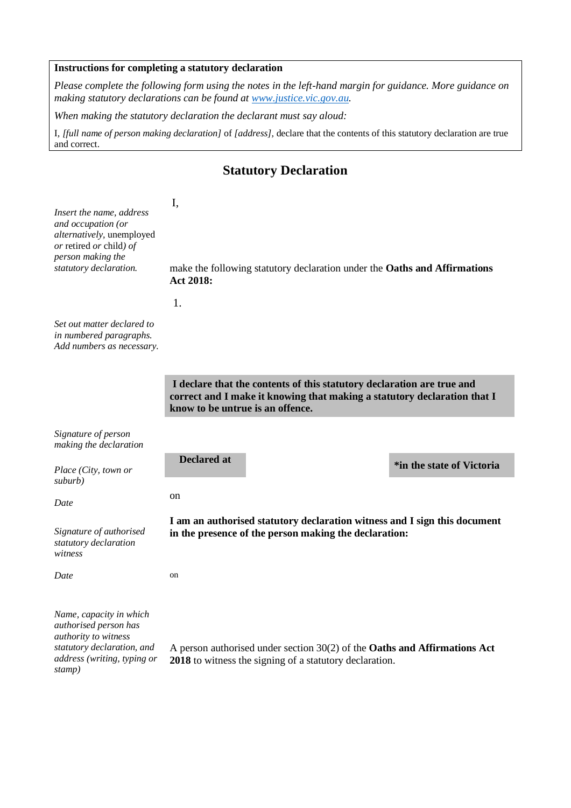## **Instructions for completing a statutory declaration**

*Please complete the following form using the notes in the left-hand margin for guidance. More guidance on making statutory declarations can be found at [www.justice.vic.gov.au.](http://www.justice.vic.gov.au/)*

*When making the statutory declaration the declarant must say aloud:* 

I*, [full name of person making declaration]* of *[address],* declare that the contents of this statutory declaration are true and correct.

## **Statutory Declaration**

## *Insert the name, address and occupation (or alternatively,* unemployed *or* retired *or* child*) of person making the statutory declaration.*

make the following statutory declaration under the **Oaths and Affirmations Act 2018:**

1.

I,

*Set out matter declared to in numbered paragraphs. Add numbers as necessary.*

> **I declare that the contents of this statutory declaration are true and correct and I make it knowing that making a statutory declaration that I know to be untrue is an offence.**

*Signature of person making the declaration*

*Place (City, town or suburb)*

*Date*

*Signature of authorised statutory declaration witness*

*Date*

**Declared at the state of Victoria** 

on

on

**I am an authorised statutory declaration witness and I sign this document in the presence of the person making the declaration:**

*Name, capacity in which authorised person has authority to witness statutory declaration, and address (writing, typing or stamp)*

A person authorised under section 30(2) of the **Oaths and Affirmations Act 2018** to witness the signing of a statutory declaration.